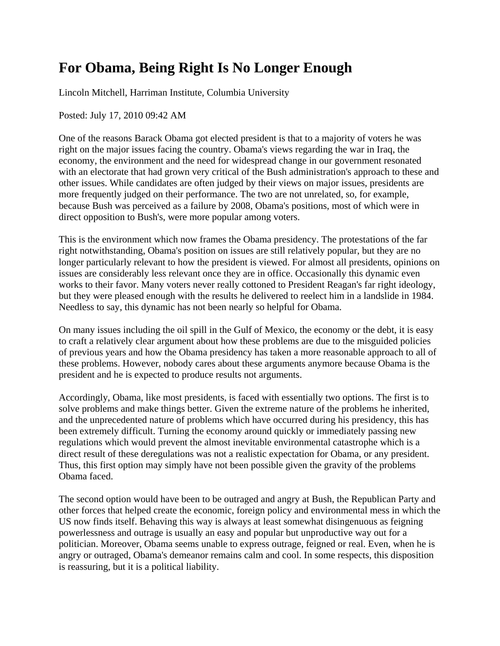## **For Obama, Being Right Is No Longer Enough**

Lincoln Mitchell, Harriman Institute, Columbia University

Posted: July 17, 2010 09:42 AM

One of the reasons Barack Obama got elected president is that to a majority of voters he was right on the major issues facing the country. Obama's views regarding the war in Iraq, the economy, the environment and the need for widespread change in our government resonated with an electorate that had grown very critical of the Bush administration's approach to these and other issues. While candidates are often judged by their views on major issues, presidents are more frequently judged on their performance. The two are not unrelated, so, for example, because Bush was perceived as a failure by 2008, Obama's positions, most of which were in direct opposition to Bush's, were more popular among voters.

This is the environment which now frames the Obama presidency. The protestations of the far right notwithstanding, Obama's position on issues are still relatively popular, but they are no longer particularly relevant to how the president is viewed. For almost all presidents, opinions on issues are considerably less relevant once they are in office. Occasionally this dynamic even works to their favor. Many voters never really cottoned to President Reagan's far right ideology, but they were pleased enough with the results he delivered to reelect him in a landslide in 1984. Needless to say, this dynamic has not been nearly so helpful for Obama.

On many issues including the oil spill in the Gulf of Mexico, the economy or the debt, it is easy to craft a relatively clear argument about how these problems are due to the misguided policies of previous years and how the Obama presidency has taken a more reasonable approach to all of these problems. However, nobody cares about these arguments anymore because Obama is the president and he is expected to produce results not arguments.

Accordingly, Obama, like most presidents, is faced with essentially two options. The first is to solve problems and make things better. Given the extreme nature of the problems he inherited, and the unprecedented nature of problems which have occurred during his presidency, this has been extremely difficult. Turning the economy around quickly or immediately passing new regulations which would prevent the almost inevitable environmental catastrophe which is a direct result of these deregulations was not a realistic expectation for Obama, or any president. Thus, this first option may simply have not been possible given the gravity of the problems Obama faced.

The second option would have been to be outraged and angry at Bush, the Republican Party and other forces that helped create the economic, foreign policy and environmental mess in which the US now finds itself. Behaving this way is always at least somewhat disingenuous as feigning powerlessness and outrage is usually an easy and popular but unproductive way out for a politician. Moreover, Obama seems unable to express outrage, feigned or real. Even, when he is angry or outraged, Obama's demeanor remains calm and cool. In some respects, this disposition is reassuring, but it is a political liability.